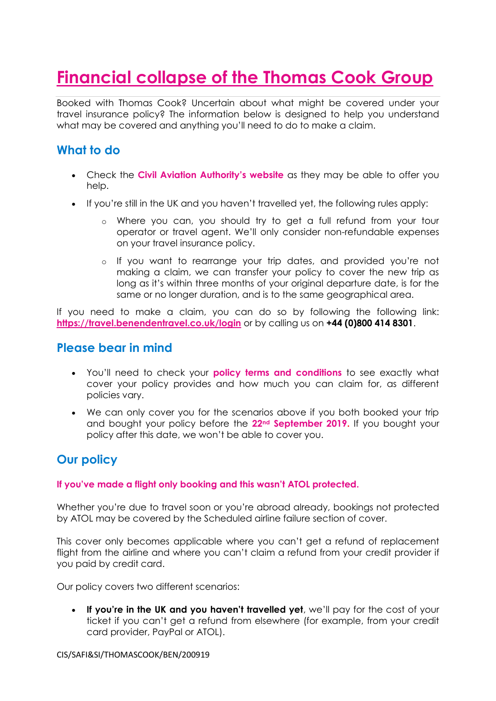# **Financial collapse of the Thomas Cook Group**

Booked with Thomas Cook? Uncertain about what might be covered under your travel insurance policy? The information below is designed to help you understand what may be covered and anything you'll need to do to make a claim.

## **What to do**

- Check the **[Civil Aviation Authority's website](https://www.caa.co.uk/home/)** as they may be able to offer you help.
- If you're still in the UK and you haven't travelled yet, the following rules apply:
	- o Where you can, you should try to get a full refund from your tour operator or travel agent. We'll only consider non-refundable expenses on your travel insurance policy.
	- o If you want to rearrange your trip dates, and provided you're not making a claim, we can transfer your policy to cover the new trip as long as it's within three months of your original departure date, is for the same or no longer duration, and is to the same geographical area.

If you need to make a claim, you can do so by following the following link: **<https://travel.benendentravel.co.uk/login>** or by calling us on **+44 (0)800 414 8301**.

### **Please bear in mind**

- You'll need to check your **[policy terms and conditions](https://www.benenden.co.uk/insurance/travel-insurance/#docs)** to see exactly what cover your policy provides and how much you can claim for, as different policies vary.
- We can only cover you for the scenarios above if you both booked your trip and bought your policy before the **22nd September 2019.** If you bought your policy after this date, we won't be able to cover you.

## **Our policy**

#### **If you've made a flight only booking and this wasn't ATOL protected.**

Whether you're due to travel soon or you're abroad already, bookings not protected by ATOL may be covered by the Scheduled airline failure section of cover.

This cover only becomes applicable where you can't get a refund of replacement flight from the airline and where you can't claim a refund from your credit provider if you paid by credit card.

Our policy covers two different scenarios:

 **If you're in the UK and you haven't travelled yet**, we'll pay for the cost of your ticket if you can't get a refund from elsewhere (for example, from your credit card provider, PayPal or ATOL).